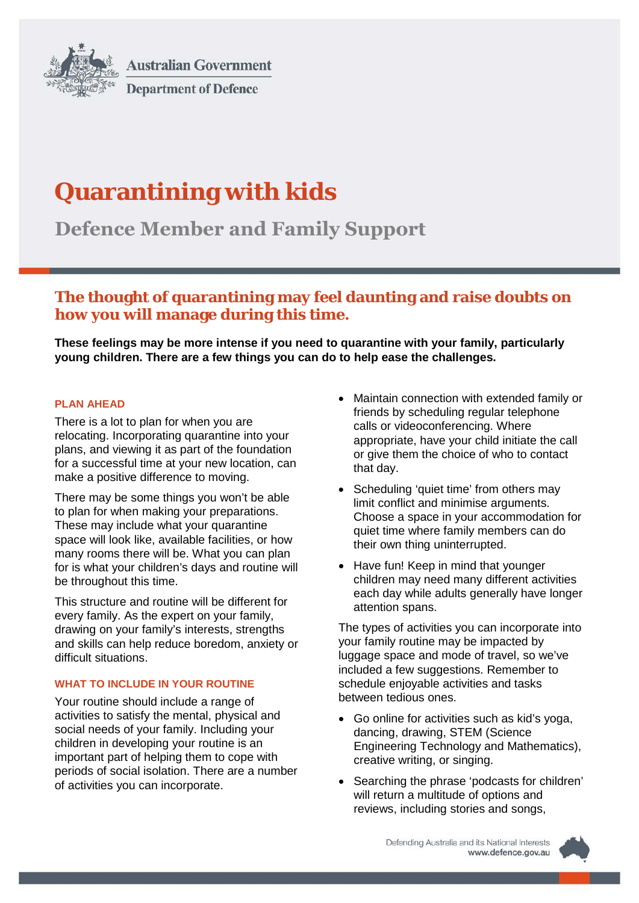

**Australian Government Department of Defence** 

# **Quarantining with kids**

**Defence Member and Family Support**

## **The thought of quarantining may feel daunting and raise doubts on how you will manage during this time.**

**These feelings may be more intense if you need to quarantine with your family, particularly young children. There are a few things you can do to help ease the challenges.**

### **PLAN AHEAD**

There is a lot to plan for when you are relocating. Incorporating quarantine into your plans, and viewing it as part of the foundation for a successful time at your new location, can make a positive difference to moving.

There may be some things you won't be able to plan for when making your preparations. These may include what your quarantine space will look like, available facilities, or how many rooms there will be. What you can plan for is what your children's days and routine will be throughout this time.

This structure and routine will be different for every family. As the expert on your family, drawing on your family's interests, strengths and skills can help reduce boredom, anxiety or difficult situations.

#### **WHAT TO INCLUDE IN YOUR ROUTINE**

Your routine should include a range of activities to satisfy the mental, physical and social needs of your family. Including your children in developing your routine is an important part of helping them to cope with periods of social isolation. There are a number of activities you can incorporate.

- Maintain connection with extended family or friends by scheduling regular telephone calls or videoconferencing. Where appropriate, have your child initiate the call or give them the choice of who to contact that day.
- Scheduling 'quiet time' from others may limit conflict and minimise arguments. Choose a space in your accommodation for quiet time where family members can do their own thing uninterrupted.
- Have fun! Keep in mind that younger children may need many different activities each day while adults generally have longer attention spans.

The types of activities you can incorporate into your family routine may be impacted by luggage space and mode of travel, so we've included a few suggestions. Remember to schedule enjoyable activities and tasks between tedious ones.

- Go online for activities such as kid's yoga, dancing, drawing, STEM (Science Engineering Technology and Mathematics), creative writing, or singing.
- Searching the phrase 'podcasts for children' will return a multitude of options and reviews, including stories and songs,